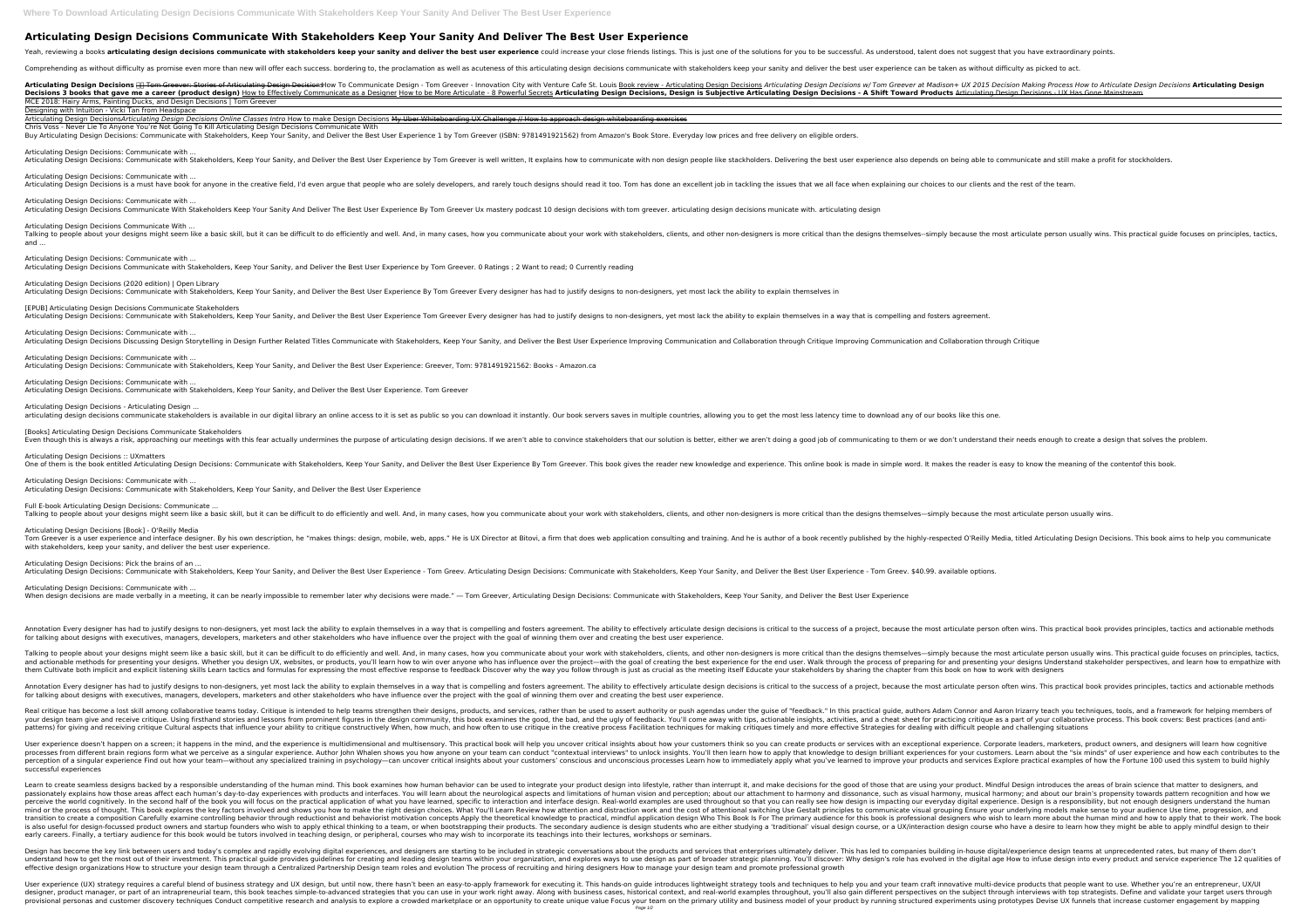## **Articulating Design Decisions Communicate With Stakeholders Keep Your Sanity And Deliver The Best User Experience**

Comprehending as without difficulty as promise even more than new will offer each success. bordering to, the proclamation as well as acuteness of this articulating design decisions communicate with stakeholders keep your s

Articulating Design Decisions **HE Tom Greever: Stories of Articulating Design Decisions How To Communicate Design - Tom Greever - Innovation City with Venture Cafe St. Louis Book review - Articulating Design Decisions Maki** Decisions 3 books that gave me a career (product design) How to Effectively Communicate as a Designer How to be More Articulating Design is Subjective Articulating Design Decisions, Design is Subjective Articulating Design MCE 2018: Hairy Arms, Painting Ducks, and Design Decisions | Tom Greever

Articulating Design Decisions: Communicate with ... Articulating Design Decisions: Communicate with Stakeholders, Keep Your Sanity, and Deliver the Best User Experience by Tom Greever is well written, It explains how to communicate with non design people like stackholders.

Articulating Design Decisions: Communicate with ... Articulating Design Decisions is a must have book for anyone in the creative field, I'd even argue that people who are solely developers, and rarely touch designs should read it too. Tom has done an excellent job in tackli

Articulating Design Decisions: Communicate with ... Articulating Design Decisions Communicate With Stakeholders Keep Your Sanity And Deliver The Best User Experience By Tom Greever Ux mastery podcast 10 design decisions with tom greever. articulating design decisions munica

Designing with Intuition - Vicki Tan from Headspace Articulating Design Decisions*Articulating Design Decisions Online Classes Intro* How to make Design Decisions My Uber Whiteboarding UX Challenge // How to approach design whiteboarding exercises Chris Voss - Never Lie To Anyone You're Not Going To Kill Articulating Design Decisions Communicate With

Buy Articulating Design Decisions: Communicate with Stakeholders, Keep Your Sanity, and Deliver the Best User Experience 1 by Tom Greever (ISBN: 9781491921562) from Amazon's Book Store. Everyday low prices and free deliver

Talking to people about your designs might seem like a basic skill, but it can be difficult to do efficiently and well. And, in many cases, how you communicate about your work with stakeholders, clients, and other non-desi and ...

Articulating Design Decisions (2020 edition) | Open Library Articulating Design Decisions: Communicate with Stakeholders, Keep Your Sanity, and Deliver the Best User Experience By Tom Greever Every designer has had to justify designs to non-designers, yet most lack the ability to e

[EPUB] Articulating Design Decisions Communicate Stakeholders Articulating Design Decisions: Communicate with Stakeholders, Keep Your Sanity, and Deliver the Best User Experience Tom Greever Every designer has had to justify designers, yet most lack the ability to explain themselves

Articulating Design Decisions: Communicate with ... Articulating Design Decisions Discussing Design Storytelling in Design Further Related Titles Communicate with Stakeholders, Keep Your Sanity, and Deliver the Best User Experience Improving Communication and Collaboration

Articulating Design Decisions: Communicate with Articulating Design Decisions. Communicate with Stakeholders, Keep Your Sanity, and Deliver the Best User Experience. Tom Greever

Articulating Design Decisions - Articulating Design ... articulating design decisions communicate stakeholders is available in our digital library an online access to it is set as public so you can download it instantly. Our book servers saves in multiple countries, allowing yo

[Books] Articulating Design Decisions Communicate Stakeholders Even though this is always a risk, approaching our meetings with this fear actually undermines the purpose of articulating design decisions. If we aren't able to convince stakeholders that our solution is better, either we

Articulating Design Decisions Communicate With ...

Articulating Design Decisions: Communicate with ...

Articulating Design Decisions Communicate with Stakeholders, Keep Your Sanity, and Deliver the Best User Experience by Tom Greever. 0 Ratings ; 2 Want to read; 0 Currently reading

Articulating Design Decisions: Communicate with ... When design decisions are made verbally in a meeting, it can be nearly impossible to remember later why decisions were made." — Tom Greever, Articulating Design Decisions: Communicate with Stakeholders, Keep Your Sanity, a

Annotation Every designer has had to justify designs to non-designers, yet most lack the ability to explain themselves in a way that is compelling and fosters agreement. The ability to effectively articulate person often w for talking about designs with executives, managers, developers, marketers and other stakeholders who have influence over the project with the goal of winning them over and creating the best user experience.

Talking to people about your designs might seem like a basic skill, but it can be difficult to do efficiently and well. And, in many cases, how you communicate about your work with stakeholders, clients, and other non-desi and actionable methods for presenting your designs. Whether you design UX, websites, or products, you'll learn how to win over anyone who has influence over the process of preparing for and presenting your designs Understa them Cultivate both implicit and explicit listening skills Learn tactics and formulas for expressing the most effective response to feedback Discover why the way you follow through is just as crucial as the meeting itself

Articulating Design Decisions: Communicate with ... Articulating Design Decisions: Communicate with Stakeholders, Keep Your Sanity, and Deliver the Best User Experience: Greever, Tom: 9781491921562: Books - Amazon.ca

Annotation Every designer has had to justify designs to non-designers, yet most lack the ability to explain themselves in a way that is compelling and fosters agreement. The ability to effectively articulate person often w for talking about designs with executives, managers, developers, marketers and other stakeholders who have influence over the project with the goal of winning them over and creating the best user experience.

Real critique has become a lost skill among collaborative teams today. Critique is intended to help teams strengthen their designs, products, and services, rather than be used to assert authority or push agendas under the your design team give and receive critique. Using firsthand stories and lessons from prominent figures in the design community, this book examines the good, the bad, and a cheat sheet for practicing critique as a part of y patterns) for giving and receiving critique Cultural aspects that influence your ability to critique constructively When, how much, and how often to use critiques for making critiques for making critiques timely and more e

Articulating Design Decisions :: UXmatters

One of them is the book entitled Articulating Design Decisions: Communicate with Stakeholders, Keep Your Sanity, and Deliver the Best User Experience By Tom Greever. This book gives the reader new knowledge and experience

User experience doesn't happen on a screen; it happens in the mind, and the experience is multidimensional and multisensory. This practical book will help you uncover critical insights about how your customers think so you processes from different brain regions form what we perceive as a singular experience. Author John Whalen shows you how anyone on your team can conduct "contextual interviews" to unlock insights. You'll then learn how to a perception of a singular experience Find out how your team—without any specialized training in psychology—can uncover critical insights about your products and services Explore practical examples of how the Fortune 100 use successful experiences

Articulating Design Decisions: Communicate with ... Articulating Design Decisions: Communicate with Stakeholders, Keep Your Sanity, and Deliver the Best User Experience

Full E-book Articulating Design Decisions: Communicate ...

Talking to people about your designs might seem like a basic skill, but it can be difficult to do efficiently and well. And, in many cases, how you communicate about your work with stakeholders, clients, and other non-desi

Articulating Design Decisions [Book] - O'Reilly Media Tom Greever is a user experience and interface designer. By his own description, he "makes things: design, mobile, web, apps." He is UX Director at Bitovi, a firm that does web application consulting and training. And he i with stakeholders, keep your sanity, and deliver the best user experience.

Learn to create seamless designs backed by a responsible understanding of the human mind. This book examines how human behavior can be used to integrate your product. Mindful Design introduces the areas of brain science th passionately explains how those areas affect each human's day-to-day experiences with products and interfaces. You will learn about the neurological aspects and limitations of human vision and dissonance, such as visual ha perceive the world cognitively. In the second half of the book you will focus on the practical application of what you have learned, specific to interaction and interface design. Real-world examples are used throughout so mind or the process of thought. This book explores the key factors involved and shows you how to make the right design choices. What You'll Learn Review how attentional switching Use Gestalt principles to communicate visua transition to create a composition Carefully examine controlling behavior through reductionist and behaviorist motivation concepts Apply the theoretical knowledge to practical knowledge to practical knowledge to practical is also useful for design-focussed product owners and startup founders who wish to apply ethical thinking to a team, or when bootstrapping their products. The secondary audience is design course, or a UX/interaction design early careers. Finally, a tertiary audience for this book would be tutors involved in teaching design, or peripheral, courses who may wish to incorporate its teachings into their lectures, workshops or seminars.

Design has become the key link between users and today's complex and rapidly evolving digital experiences, and designers are starting to be included in strategic conversations about the products and services that enterpris understand how to get the most out of their investment. This practical guide provides guidelines for creating and leading design teams within your organization, and explores ways to use design teams within your organizatio effective design organizations How to structure your design team through a Centralized Partnership Design team roles and evolution The process of recruiting and hiring designers How to manage your design team and promote p

Articulating Design Decisions: Pick the brains of an ...

Articulating Design Decisions: Communicate with Stakeholders, Keep Your Sanity, and Deliver the Best User Experience - Tom Greev. Articulating Design Decisions: Communicate with Stakeholders, Keep Your Sanity, and Deliver

User experience (UX) strategy requires a careful blend of business strategy and UX design, but until now, there hasn't been an easy-to-apply framework for executing it. This hands-on quide introduces lightweight strategy t designer, product manager, or part of an intrapreneurial team, this book teaches simple-to-advanced strategies that you can use in your work right away. Along with business cases, historical context, and real-world example provisional personas and customer discovery techniques Conduct competitive research and analysis to explore a crowded marketplace or an opportunity to create unique value Focus your product by running structured experiment Page 1/2

Yeah, reviewing a books articulating design decisions communicate with stakeholders keep your sanity and deliver the best user experience could increase your close friends listings. This is just one of the solutions for yo